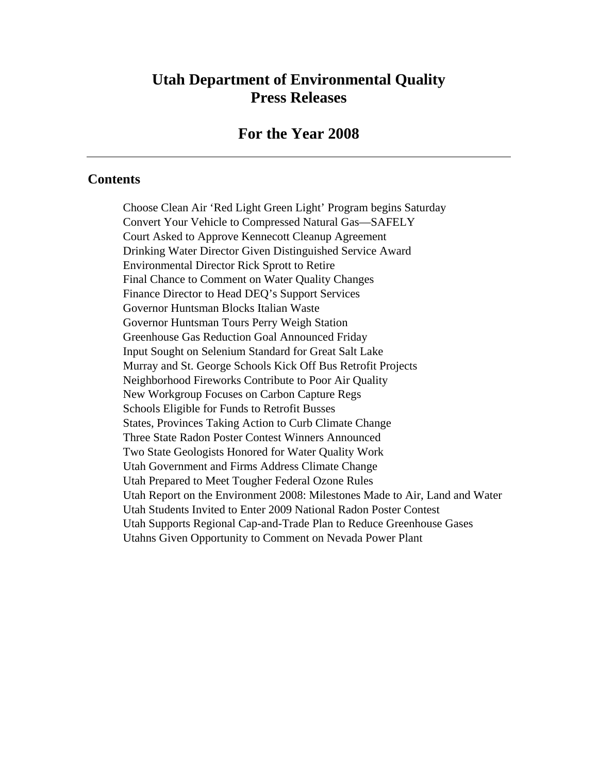# **Utah Department of Environmental Quality Press Releases**

### **For the Year 2008**

#### **Contents**

Choose Clean Air 'Red Light Green Light' Program begins Saturday Convert Your Vehicle to Compressed Natural Gas—SAFELY Court Asked to Approve Kennecott Cleanup Agreement Drinking Water Director Given Distinguished Service Award Environmental Director Rick Sprott to Retire Final Chance to Comment on Water Quality Changes Finance Director to Head DEQ's Support Services Governor Huntsman Blocks Italian Waste Governor Huntsman Tours Perry Weigh Station Greenhouse Gas Reduction Goal Announced Friday Input Sought on Selenium Standard for Great Salt Lake Murray and St. George Schools Kick Off Bus Retrofit Projects Neighborhood Fireworks Contribute to Poor Air Quality New Workgroup Focuses on Carbon Capture Regs Schools Eligible for Funds to Retrofit Busses States, Provinces Taking Action to Curb Climate Change Three State Radon Poster Contest Winners Announced Two State Geologists Honored for Water Quality Work Utah Government and Firms Address Climate Change Utah Prepared to Meet Tougher Federal Ozone Rules Utah Report on the Environment 2008: Milestones Made to Air, Land and Water Utah Students Invited to Enter 2009 National Radon Poster Contest Utah Supports Regional Cap-and-Trade Plan to Reduce Greenhouse Gases Utahns Given Opportunity to Comment on Nevada Power Plant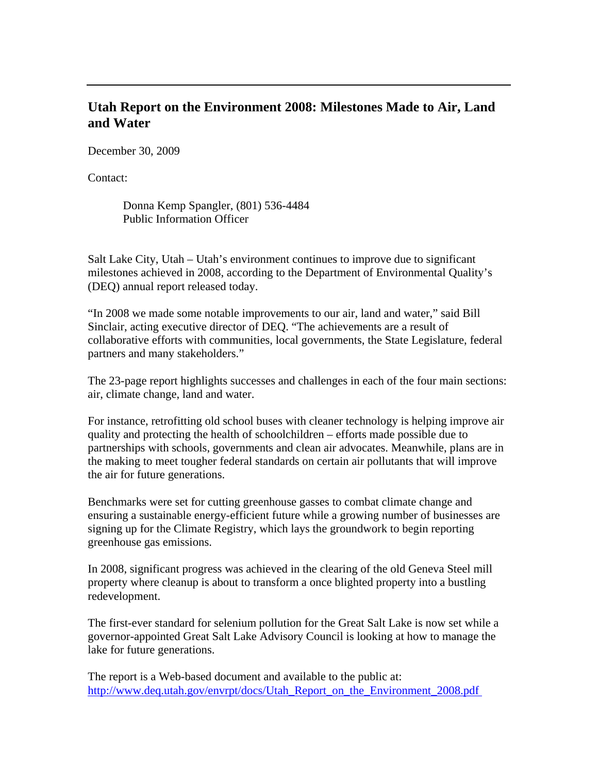# **Utah Report on the Environment 2008: Milestones Made to Air, Land and Water**

December 30, 2009

Contact:

Donna Kemp Spangler, (801) 536-4484 Public Information Officer

Salt Lake City, Utah – Utah's environment continues to improve due to significant milestones achieved in 2008, according to the Department of Environmental Quality's (DEQ) annual report released today.

"In 2008 we made some notable improvements to our air, land and water," said Bill Sinclair, acting executive director of DEQ. "The achievements are a result of collaborative efforts with communities, local governments, the State Legislature, federal partners and many stakeholders."

The 23-page report highlights successes and challenges in each of the four main sections: air, climate change, land and water.

For instance, retrofitting old school buses with cleaner technology is helping improve air quality and protecting the health of schoolchildren – efforts made possible due to partnerships with schools, governments and clean air advocates. Meanwhile, plans are in the making to meet tougher federal standards on certain air pollutants that will improve the air for future generations.

Benchmarks were set for cutting greenhouse gasses to combat climate change and ensuring a sustainable energy-efficient future while a growing number of businesses are signing up for the Climate Registry, which lays the groundwork to begin reporting greenhouse gas emissions.

In 2008, significant progress was achieved in the clearing of the old Geneva Steel mill property where cleanup is about to transform a once blighted property into a bustling redevelopment.

The first-ever standard for selenium pollution for the Great Salt Lake is now set while a governor-appointed Great Salt Lake Advisory Council is looking at how to manage the lake for future generations.

The report is a Web-based document and available to the public at: http://www.deq.utah.gov/envrpt/docs/Utah\_Report\_on\_the\_Environment\_2008.pdf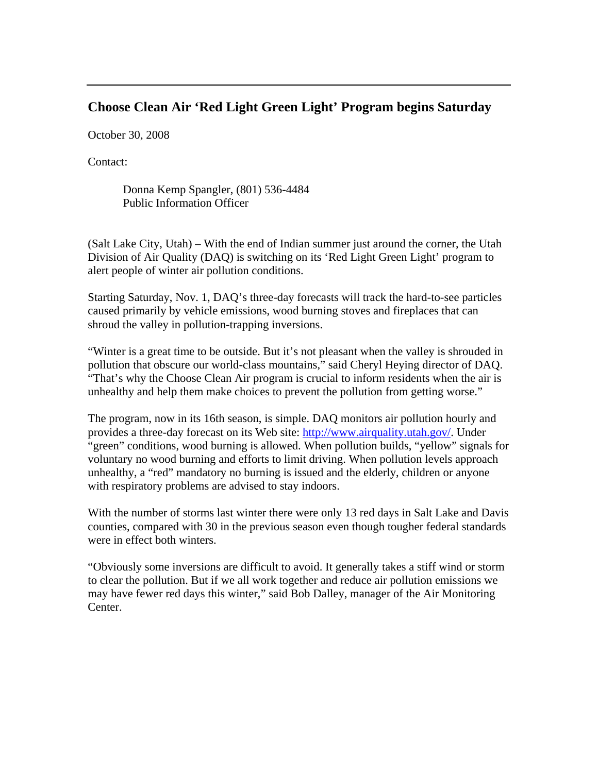### **Choose Clean Air 'Red Light Green Light' Program begins Saturday**

October 30, 2008

Contact:

Donna Kemp Spangler, (801) 536-4484 Public Information Officer

(Salt Lake City, Utah) – With the end of Indian summer just around the corner, the Utah Division of Air Quality (DAQ) is switching on its 'Red Light Green Light' program to alert people of winter air pollution conditions.

Starting Saturday, Nov. 1, DAQ's three-day forecasts will track the hard-to-see particles caused primarily by vehicle emissions, wood burning stoves and fireplaces that can shroud the valley in pollution-trapping inversions.

"Winter is a great time to be outside. But it's not pleasant when the valley is shrouded in pollution that obscure our world-class mountains," said Cheryl Heying director of DAQ. "That's why the Choose Clean Air program is crucial to inform residents when the air is unhealthy and help them make choices to prevent the pollution from getting worse."

The program, now in its 16th season, is simple. DAQ monitors air pollution hourly and provides a three-day forecast on its Web site: http://www.airquality.utah.gov/. Under "green" conditions, wood burning is allowed. When pollution builds, "yellow" signals for voluntary no wood burning and efforts to limit driving. When pollution levels approach unhealthy, a "red" mandatory no burning is issued and the elderly, children or anyone with respiratory problems are advised to stay indoors.

With the number of storms last winter there were only 13 red days in Salt Lake and Davis counties, compared with 30 in the previous season even though tougher federal standards were in effect both winters.

"Obviously some inversions are difficult to avoid. It generally takes a stiff wind or storm to clear the pollution. But if we all work together and reduce air pollution emissions we may have fewer red days this winter," said Bob Dalley, manager of the Air Monitoring Center.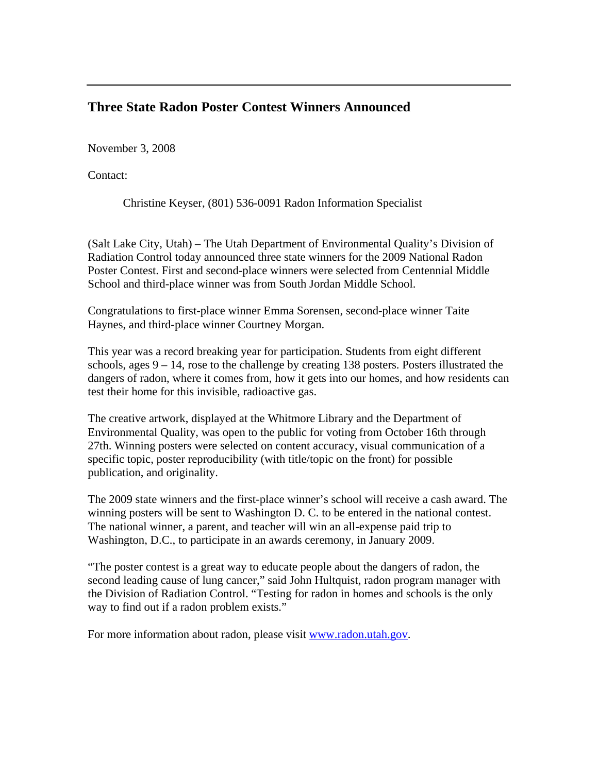# **Three State Radon Poster Contest Winners Announced**

November 3, 2008

Contact:

Christine Keyser, (801) 536-0091 Radon Information Specialist

(Salt Lake City, Utah) – The Utah Department of Environmental Quality's Division of Radiation Control today announced three state winners for the 2009 National Radon Poster Contest. First and second-place winners were selected from Centennial Middle School and third-place winner was from South Jordan Middle School.

Congratulations to first-place winner Emma Sorensen, second-place winner Taite Haynes, and third-place winner Courtney Morgan.

This year was a record breaking year for participation. Students from eight different schools, ages 9 – 14, rose to the challenge by creating 138 posters. Posters illustrated the dangers of radon, where it comes from, how it gets into our homes, and how residents can test their home for this invisible, radioactive gas.

The creative artwork, displayed at the Whitmore Library and the Department of Environmental Quality, was open to the public for voting from October 16th through 27th. Winning posters were selected on content accuracy, visual communication of a specific topic, poster reproducibility (with title/topic on the front) for possible publication, and originality.

The 2009 state winners and the first-place winner's school will receive a cash award. The winning posters will be sent to Washington D. C. to be entered in the national contest. The national winner, a parent, and teacher will win an all-expense paid trip to Washington, D.C., to participate in an awards ceremony, in January 2009.

"The poster contest is a great way to educate people about the dangers of radon, the second leading cause of lung cancer," said John Hultquist, radon program manager with the Division of Radiation Control. "Testing for radon in homes and schools is the only way to find out if a radon problem exists."

For more information about radon, please visit www.radon.utah.gov.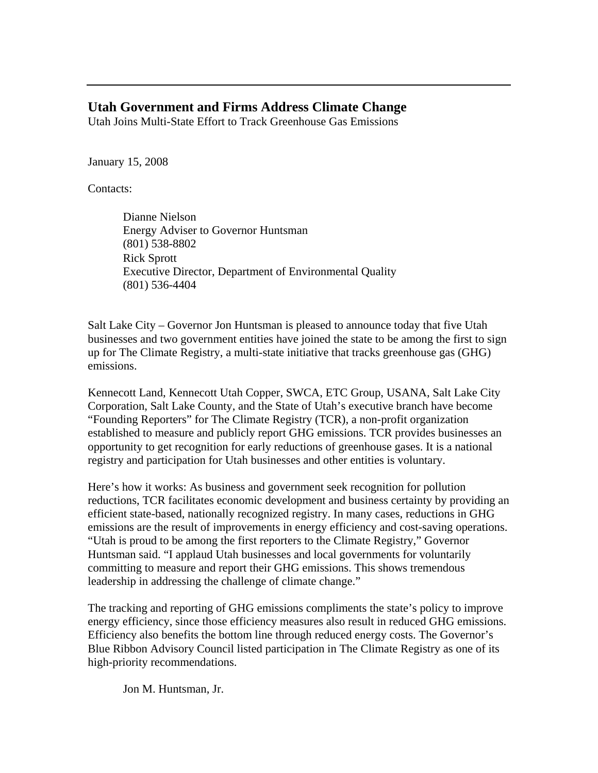### **Utah Government and Firms Address Climate Change**

Utah Joins Multi-State Effort to Track Greenhouse Gas Emissions

January 15, 2008

Contacts:

Dianne Nielson Energy Adviser to Governor Huntsman (801) 538-8802 Rick Sprott Executive Director, Department of Environmental Quality (801) 536-4404

Salt Lake City – Governor Jon Huntsman is pleased to announce today that five Utah businesses and two government entities have joined the state to be among the first to sign up for The Climate Registry, a multi-state initiative that tracks greenhouse gas (GHG) emissions.

Kennecott Land, Kennecott Utah Copper, SWCA, ETC Group, USANA, Salt Lake City Corporation, Salt Lake County, and the State of Utah's executive branch have become "Founding Reporters" for The Climate Registry (TCR), a non-profit organization established to measure and publicly report GHG emissions. TCR provides businesses an opportunity to get recognition for early reductions of greenhouse gases. It is a national registry and participation for Utah businesses and other entities is voluntary.

Here's how it works: As business and government seek recognition for pollution reductions, TCR facilitates economic development and business certainty by providing an efficient state-based, nationally recognized registry. In many cases, reductions in GHG emissions are the result of improvements in energy efficiency and cost-saving operations. "Utah is proud to be among the first reporters to the Climate Registry," Governor Huntsman said. "I applaud Utah businesses and local governments for voluntarily committing to measure and report their GHG emissions. This shows tremendous leadership in addressing the challenge of climate change."

The tracking and reporting of GHG emissions compliments the state's policy to improve energy efficiency, since those efficiency measures also result in reduced GHG emissions. Efficiency also benefits the bottom line through reduced energy costs. The Governor's Blue Ribbon Advisory Council listed participation in The Climate Registry as one of its high-priority recommendations.

Jon M. Huntsman, Jr.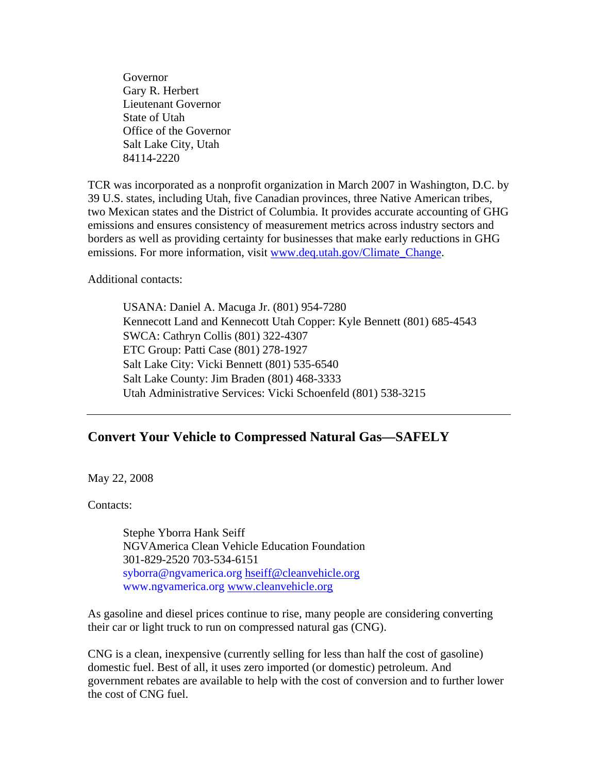Governor Gary R. Herbert Lieutenant Governor State of Utah Office of the Governor Salt Lake City, Utah 84114-2220

TCR was incorporated as a nonprofit organization in March 2007 in Washington, D.C. by 39 U.S. states, including Utah, five Canadian provinces, three Native American tribes, two Mexican states and the District of Columbia. It provides accurate accounting of GHG emissions and ensures consistency of measurement metrics across industry sectors and borders as well as providing certainty for businesses that make early reductions in GHG emissions. For more information, visit www.deq.utah.gov/Climate\_Change.

Additional contacts:

USANA: Daniel A. Macuga Jr. (801) 954-7280 Kennecott Land and Kennecott Utah Copper: Kyle Bennett (801) 685-4543 SWCA: Cathryn Collis (801) 322-4307 ETC Group: Patti Case (801) 278-1927 Salt Lake City: Vicki Bennett (801) 535-6540 Salt Lake County: Jim Braden (801) 468-3333 Utah Administrative Services: Vicki Schoenfeld (801) 538-3215

# **Convert Your Vehicle to Compressed Natural Gas—SAFELY**

May 22, 2008

Contacts:

Stephe Yborra Hank Seiff NGVAmerica Clean Vehicle Education Foundation 301-829-2520 703-534-6151 syborra@ngvamerica.org hseiff@cleanvehicle.org www.ngvamerica.org www.cleanvehicle.org

As gasoline and diesel prices continue to rise, many people are considering converting their car or light truck to run on compressed natural gas (CNG).

CNG is a clean, inexpensive (currently selling for less than half the cost of gasoline) domestic fuel. Best of all, it uses zero imported (or domestic) petroleum. And government rebates are available to help with the cost of conversion and to further lower the cost of CNG fuel.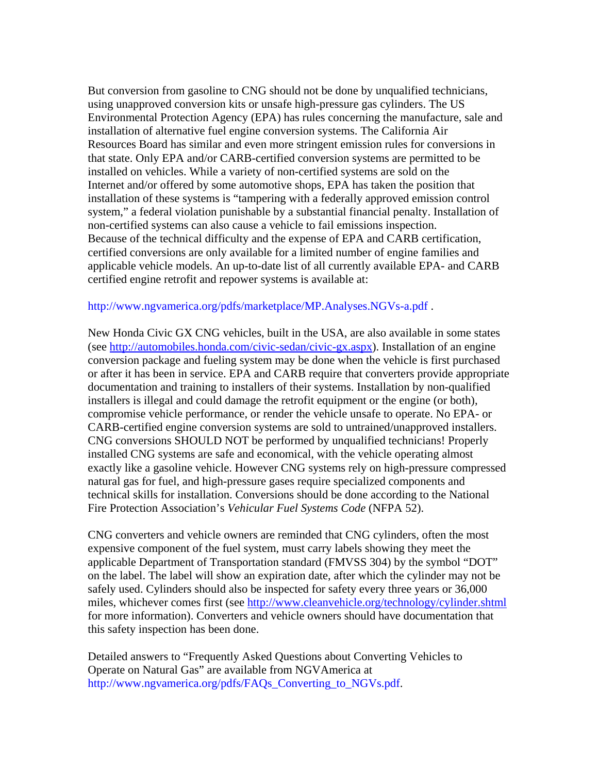But conversion from gasoline to CNG should not be done by unqualified technicians, using unapproved conversion kits or unsafe high-pressure gas cylinders. The US Environmental Protection Agency (EPA) has rules concerning the manufacture, sale and installation of alternative fuel engine conversion systems. The California Air Resources Board has similar and even more stringent emission rules for conversions in that state. Only EPA and/or CARB-certified conversion systems are permitted to be installed on vehicles. While a variety of non-certified systems are sold on the Internet and/or offered by some automotive shops, EPA has taken the position that installation of these systems is "tampering with a federally approved emission control system," a federal violation punishable by a substantial financial penalty. Installation of non-certified systems can also cause a vehicle to fail emissions inspection. Because of the technical difficulty and the expense of EPA and CARB certification, certified conversions are only available for a limited number of engine families and applicable vehicle models. An up-to-date list of all currently available EPA- and CARB certified engine retrofit and repower systems is available at:

#### http://www.ngvamerica.org/pdfs/marketplace/MP.Analyses.NGVs-a.pdf .

New Honda Civic GX CNG vehicles, built in the USA, are also available in some states (see http://automobiles.honda.com/civic-sedan/civic-gx.aspx). Installation of an engine conversion package and fueling system may be done when the vehicle is first purchased or after it has been in service. EPA and CARB require that converters provide appropriate documentation and training to installers of their systems. Installation by non-qualified installers is illegal and could damage the retrofit equipment or the engine (or both), compromise vehicle performance, or render the vehicle unsafe to operate. No EPA- or CARB-certified engine conversion systems are sold to untrained/unapproved installers. CNG conversions SHOULD NOT be performed by unqualified technicians! Properly installed CNG systems are safe and economical, with the vehicle operating almost exactly like a gasoline vehicle. However CNG systems rely on high-pressure compressed natural gas for fuel, and high-pressure gases require specialized components and technical skills for installation. Conversions should be done according to the National Fire Protection Association's *Vehicular Fuel Systems Code* (NFPA 52).

CNG converters and vehicle owners are reminded that CNG cylinders, often the most expensive component of the fuel system, must carry labels showing they meet the applicable Department of Transportation standard (FMVSS 304) by the symbol "DOT" on the label. The label will show an expiration date, after which the cylinder may not be safely used. Cylinders should also be inspected for safety every three years or 36,000 miles, whichever comes first (see http://www.cleanvehicle.org/technology/cylinder.shtml for more information). Converters and vehicle owners should have documentation that this safety inspection has been done.

Detailed answers to "Frequently Asked Questions about Converting Vehicles to Operate on Natural Gas" are available from NGVAmerica at http://www.ngvamerica.org/pdfs/FAQs\_Converting\_to\_NGVs.pdf.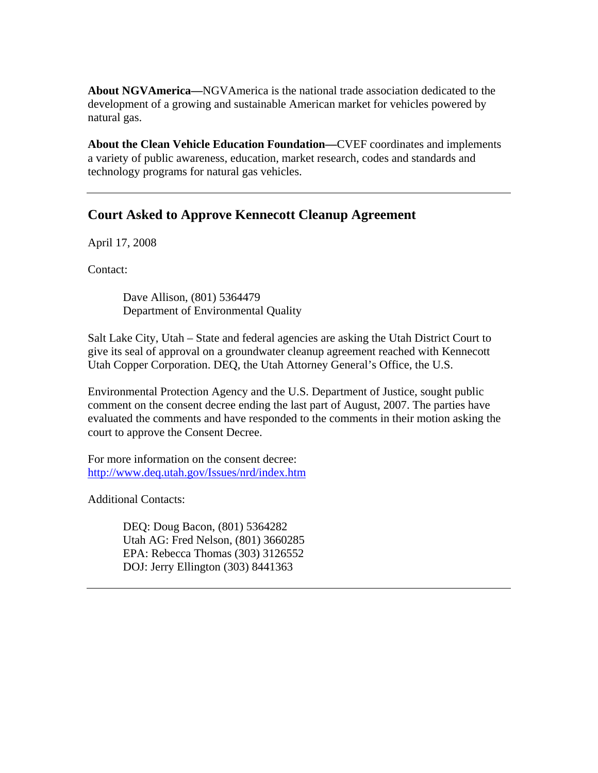**About NGVAmerica—**NGVAmerica is the national trade association dedicated to the development of a growing and sustainable American market for vehicles powered by natural gas.

**About the Clean Vehicle Education Foundation—**CVEF coordinates and implements a variety of public awareness, education, market research, codes and standards and technology programs for natural gas vehicles.

# **Court Asked to Approve Kennecott Cleanup Agreement**

April 17, 2008

Contact:

Dave Allison, (801) 5364479 Department of Environmental Quality

Salt Lake City, Utah – State and federal agencies are asking the Utah District Court to give its seal of approval on a groundwater cleanup agreement reached with Kennecott Utah Copper Corporation. DEQ, the Utah Attorney General's Office, the U.S.

Environmental Protection Agency and the U.S. Department of Justice, sought public comment on the consent decree ending the last part of August, 2007. The parties have evaluated the comments and have responded to the comments in their motion asking the court to approve the Consent Decree.

For more information on the consent decree: http://www.deq.utah.gov/Issues/nrd/index.htm

Additional Contacts:

DEQ: Doug Bacon, (801) 5364282 Utah AG: Fred Nelson, (801) 3660285 EPA: Rebecca Thomas (303) 3126552 DOJ: Jerry Ellington (303) 8441363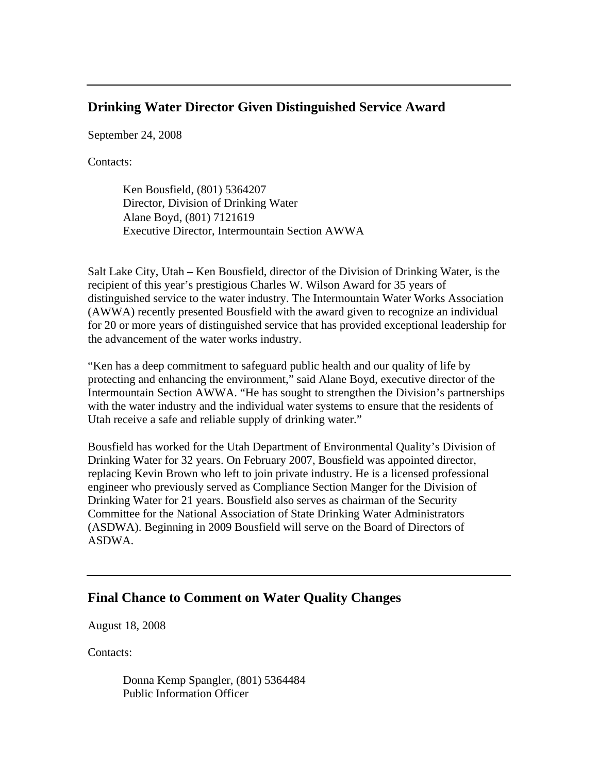### **Drinking Water Director Given Distinguished Service Award**

September 24, 2008

Contacts:

Ken Bousfield, (801) 5364207 Director, Division of Drinking Water Alane Boyd, (801) 7121619 Executive Director, Intermountain Section AWWA

Salt Lake City, Utah **–** Ken Bousfield, director of the Division of Drinking Water, is the recipient of this year's prestigious Charles W. Wilson Award for 35 years of distinguished service to the water industry. The Intermountain Water Works Association (AWWA) recently presented Bousfield with the award given to recognize an individual for 20 or more years of distinguished service that has provided exceptional leadership for the advancement of the water works industry.

"Ken has a deep commitment to safeguard public health and our quality of life by protecting and enhancing the environment," said Alane Boyd, executive director of the Intermountain Section AWWA. "He has sought to strengthen the Division's partnerships with the water industry and the individual water systems to ensure that the residents of Utah receive a safe and reliable supply of drinking water."

Bousfield has worked for the Utah Department of Environmental Quality's Division of Drinking Water for 32 years. On February 2007, Bousfield was appointed director, replacing Kevin Brown who left to join private industry. He is a licensed professional engineer who previously served as Compliance Section Manger for the Division of Drinking Water for 21 years. Bousfield also serves as chairman of the Security Committee for the National Association of State Drinking Water Administrators (ASDWA). Beginning in 2009 Bousfield will serve on the Board of Directors of ASDWA.

# **Final Chance to Comment on Water Quality Changes**

August 18, 2008

Contacts:

Donna Kemp Spangler, (801) 5364484 Public Information Officer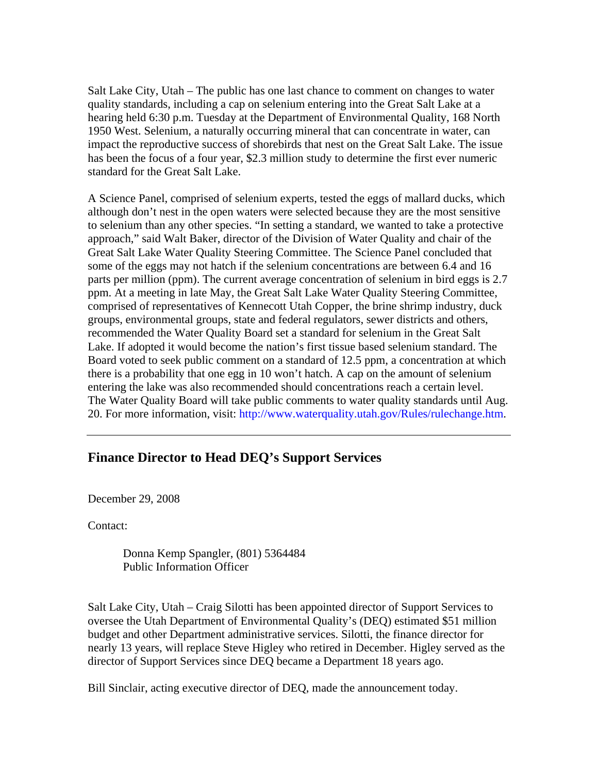Salt Lake City, Utah – The public has one last chance to comment on changes to water quality standards, including a cap on selenium entering into the Great Salt Lake at a hearing held 6:30 p.m. Tuesday at the Department of Environmental Quality, 168 North 1950 West. Selenium, a naturally occurring mineral that can concentrate in water, can impact the reproductive success of shorebirds that nest on the Great Salt Lake. The issue has been the focus of a four year, \$2.3 million study to determine the first ever numeric standard for the Great Salt Lake.

A Science Panel, comprised of selenium experts, tested the eggs of mallard ducks, which although don't nest in the open waters were selected because they are the most sensitive to selenium than any other species. "In setting a standard, we wanted to take a protective approach," said Walt Baker, director of the Division of Water Quality and chair of the Great Salt Lake Water Quality Steering Committee. The Science Panel concluded that some of the eggs may not hatch if the selenium concentrations are between 6.4 and 16 parts per million (ppm). The current average concentration of selenium in bird eggs is 2.7 ppm. At a meeting in late May, the Great Salt Lake Water Quality Steering Committee, comprised of representatives of Kennecott Utah Copper, the brine shrimp industry, duck groups, environmental groups, state and federal regulators, sewer districts and others, recommended the Water Quality Board set a standard for selenium in the Great Salt Lake. If adopted it would become the nation's first tissue based selenium standard. The Board voted to seek public comment on a standard of 12.5 ppm, a concentration at which there is a probability that one egg in 10 won't hatch. A cap on the amount of selenium entering the lake was also recommended should concentrations reach a certain level. The Water Quality Board will take public comments to water quality standards until Aug. 20. For more information, visit: http://www.waterquality.utah.gov/Rules/rulechange.htm.

### **Finance Director to Head DEQ's Support Services**

December 29, 2008

Contact:

Donna Kemp Spangler, (801) 5364484 Public Information Officer

Salt Lake City, Utah – Craig Silotti has been appointed director of Support Services to oversee the Utah Department of Environmental Quality's (DEQ) estimated \$51 million budget and other Department administrative services. Silotti, the finance director for nearly 13 years, will replace Steve Higley who retired in December. Higley served as the director of Support Services since DEQ became a Department 18 years ago.

Bill Sinclair, acting executive director of DEQ, made the announcement today.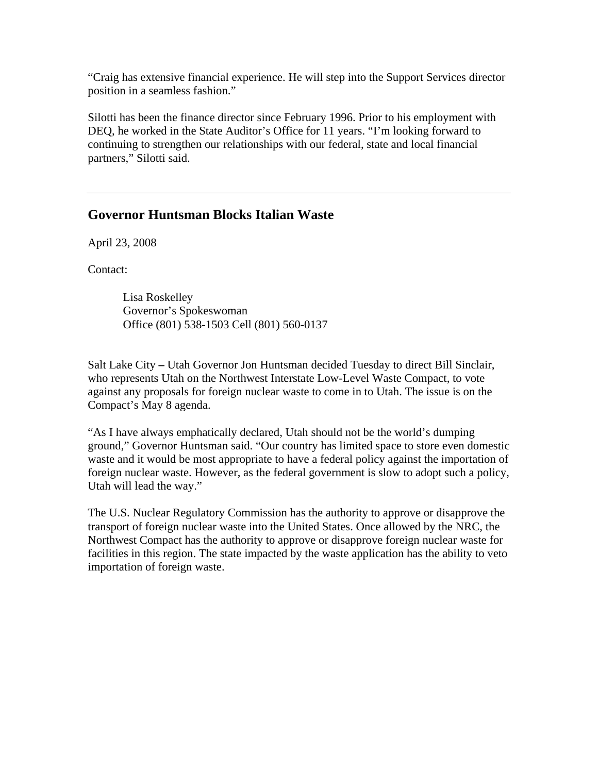"Craig has extensive financial experience. He will step into the Support Services director position in a seamless fashion."

Silotti has been the finance director since February 1996. Prior to his employment with DEQ, he worked in the State Auditor's Office for 11 years. "I'm looking forward to continuing to strengthen our relationships with our federal, state and local financial partners," Silotti said.

### **Governor Huntsman Blocks Italian Waste**

April 23, 2008

Contact:

Lisa Roskelley Governor's Spokeswoman Office (801) 538-1503 Cell (801) 560-0137

Salt Lake City **–** Utah Governor Jon Huntsman decided Tuesday to direct Bill Sinclair, who represents Utah on the Northwest Interstate Low-Level Waste Compact, to vote against any proposals for foreign nuclear waste to come in to Utah. The issue is on the Compact's May 8 agenda.

"As I have always emphatically declared, Utah should not be the world's dumping ground," Governor Huntsman said. "Our country has limited space to store even domestic waste and it would be most appropriate to have a federal policy against the importation of foreign nuclear waste. However, as the federal government is slow to adopt such a policy, Utah will lead the way."

The U.S. Nuclear Regulatory Commission has the authority to approve or disapprove the transport of foreign nuclear waste into the United States. Once allowed by the NRC, the Northwest Compact has the authority to approve or disapprove foreign nuclear waste for facilities in this region. The state impacted by the waste application has the ability to veto importation of foreign waste.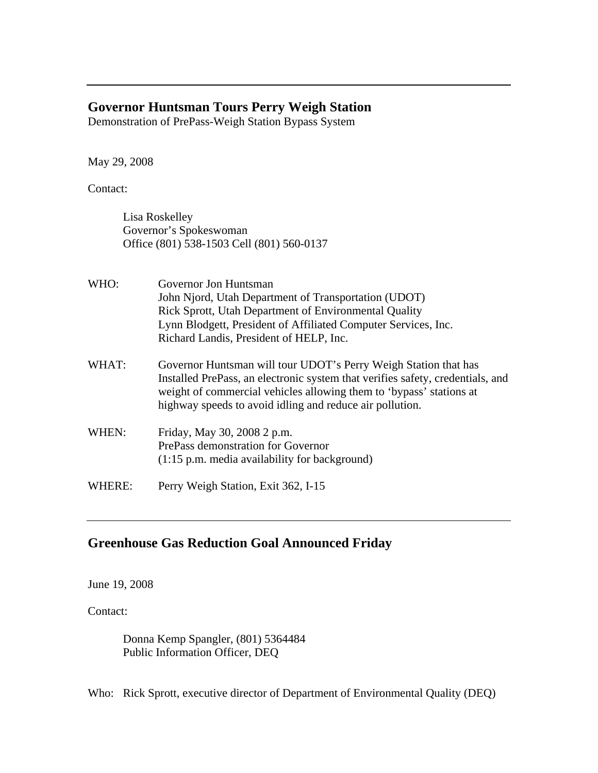### **Governor Huntsman Tours Perry Weigh Station**

Demonstration of PrePass-Weigh Station Bypass System

May 29, 2008

Contact:

Lisa Roskelley Governor's Spokeswoman Office (801) 538-1503 Cell (801) 560-0137

| WHO:  | Governor Jon Huntsman<br>John Njord, Utah Department of Transportation (UDOT)<br>Rick Sprott, Utah Department of Environmental Quality<br>Lynn Blodgett, President of Affiliated Computer Services, Inc.<br>Richard Landis, President of HELP, Inc.                                  |
|-------|--------------------------------------------------------------------------------------------------------------------------------------------------------------------------------------------------------------------------------------------------------------------------------------|
| WHAT: | Governor Huntsman will tour UDOT's Perry Weigh Station that has<br>Installed PrePass, an electronic system that verifies safety, credentials, and<br>weight of commercial vehicles allowing them to 'bypass' stations at<br>highway speeds to avoid idling and reduce air pollution. |
| WHEN: | Friday, May 30, 2008 2 p.m.<br>PrePass demonstration for Governor                                                                                                                                                                                                                    |

(1:15 p.m. media availability for background)

WHERE:Perry Weigh Station, Exit 362, I-15

# **Greenhouse Gas Reduction Goal Announced Friday**

June 19, 2008

Contact:

Donna Kemp Spangler, (801) 5364484 Public Information Officer, DEQ

Who: Rick Sprott, executive director of Department of Environmental Quality (DEQ)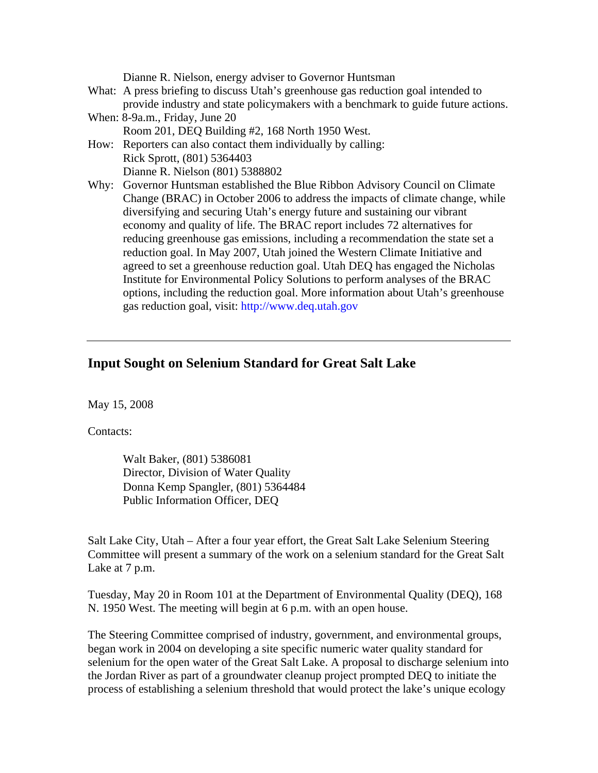| Dianne R. Nielson, energy adviser to Governor Huntsman<br>What: A press briefing to discuss Utah's greenhouse gas reduction goal intended to<br>provide industry and state policymakers with a benchmark to guide future actions. |
|-----------------------------------------------------------------------------------------------------------------------------------------------------------------------------------------------------------------------------------|
| When: 8-9a.m., Friday, June 20                                                                                                                                                                                                    |
| Room 201, DEQ Building #2, 168 North 1950 West.                                                                                                                                                                                   |
| How: Reporters can also contact them individually by calling:                                                                                                                                                                     |
| Rick Sprott, (801) 5364403                                                                                                                                                                                                        |
| Dianne R. Nielson (801) 5388802                                                                                                                                                                                                   |
| Why: Governor Huntsman established the Blue Ribbon Advisory Council on Climate                                                                                                                                                    |
| Change (BRAC) in October 2006 to address the impacts of climate change, while                                                                                                                                                     |
| diversifying and securing Utah's energy future and sustaining our vibrant                                                                                                                                                         |
| economy and quality of life. The BRAC report includes 72 alternatives for                                                                                                                                                         |
| reducing greenhouse gas emissions, including a recommendation the state set a                                                                                                                                                     |
| reduction goal. In May 2007, Utah joined the Western Climate Initiative and                                                                                                                                                       |
| agreed to set a greenhouse reduction goal. Utah DEQ has engaged the Nicholas                                                                                                                                                      |
| Institute for Environmental Policy Solutions to perform analyses of the BRAC                                                                                                                                                      |
| options, including the reduction goal. More information about Utah's greenhouse                                                                                                                                                   |
| gas reduction goal, visit: http://www.deq.utah.gov                                                                                                                                                                                |

#### **Input Sought on Selenium Standard for Great Salt Lake**

May 15, 2008

Contacts:

Walt Baker, (801) 5386081 Director, Division of Water Quality Donna Kemp Spangler, (801) 5364484 Public Information Officer, DEQ

Salt Lake City, Utah – After a four year effort, the Great Salt Lake Selenium Steering Committee will present a summary of the work on a selenium standard for the Great Salt Lake at 7 p.m.

Tuesday, May 20 in Room 101 at the Department of Environmental Quality (DEQ), 168 N. 1950 West. The meeting will begin at 6 p.m. with an open house.

The Steering Committee comprised of industry, government, and environmental groups, began work in 2004 on developing a site specific numeric water quality standard for selenium for the open water of the Great Salt Lake. A proposal to discharge selenium into the Jordan River as part of a groundwater cleanup project prompted DEQ to initiate the process of establishing a selenium threshold that would protect the lake's unique ecology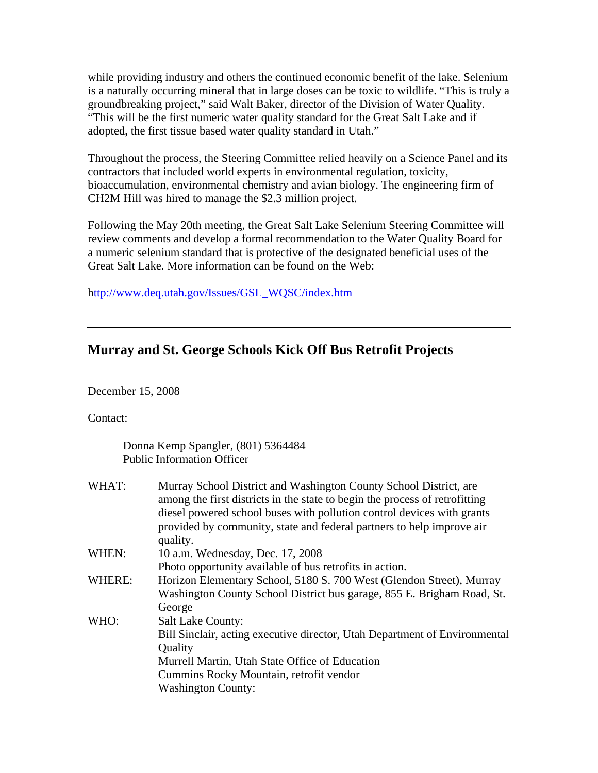while providing industry and others the continued economic benefit of the lake. Selenium is a naturally occurring mineral that in large doses can be toxic to wildlife. "This is truly a groundbreaking project," said Walt Baker, director of the Division of Water Quality. "This will be the first numeric water quality standard for the Great Salt Lake and if adopted, the first tissue based water quality standard in Utah."

Throughout the process, the Steering Committee relied heavily on a Science Panel and its contractors that included world experts in environmental regulation, toxicity, bioaccumulation, environmental chemistry and avian biology. The engineering firm of CH2M Hill was hired to manage the \$2.3 million project.

Following the May 20th meeting, the Great Salt Lake Selenium Steering Committee will review comments and develop a formal recommendation to the Water Quality Board for a numeric selenium standard that is protective of the designated beneficial uses of the Great Salt Lake. More information can be found on the Web:

http://www.deq.utah.gov/Issues/GSL\_WQSC/index.htm

### **Murray and St. George Schools Kick Off Bus Retrofit Projects**

December 15, 2008

Contact:

Donna Kemp Spangler, (801) 5364484 Public Information Officer

| WHAT:  | Murray School District and Washington County School District, are<br>among the first districts in the state to begin the process of retrofitting<br>diesel powered school buses with pollution control devices with grants<br>provided by community, state and federal partners to help improve air<br>quality. |
|--------|-----------------------------------------------------------------------------------------------------------------------------------------------------------------------------------------------------------------------------------------------------------------------------------------------------------------|
| WHEN:  | 10 a.m. Wednesday, Dec. 17, 2008                                                                                                                                                                                                                                                                                |
|        | Photo opportunity available of bus retrofits in action.                                                                                                                                                                                                                                                         |
| WHERE: | Horizon Elementary School, 5180 S. 700 West (Glendon Street), Murray                                                                                                                                                                                                                                            |
|        | Washington County School District bus garage, 855 E. Brigham Road, St.                                                                                                                                                                                                                                          |
|        | George                                                                                                                                                                                                                                                                                                          |
| WHO:   | <b>Salt Lake County:</b>                                                                                                                                                                                                                                                                                        |
|        | Bill Sinclair, acting executive director, Utah Department of Environmental                                                                                                                                                                                                                                      |
|        | Quality                                                                                                                                                                                                                                                                                                         |
|        | Murrell Martin, Utah State Office of Education                                                                                                                                                                                                                                                                  |
|        | Cummins Rocky Mountain, retrofit vendor                                                                                                                                                                                                                                                                         |
|        | <b>Washington County:</b>                                                                                                                                                                                                                                                                                       |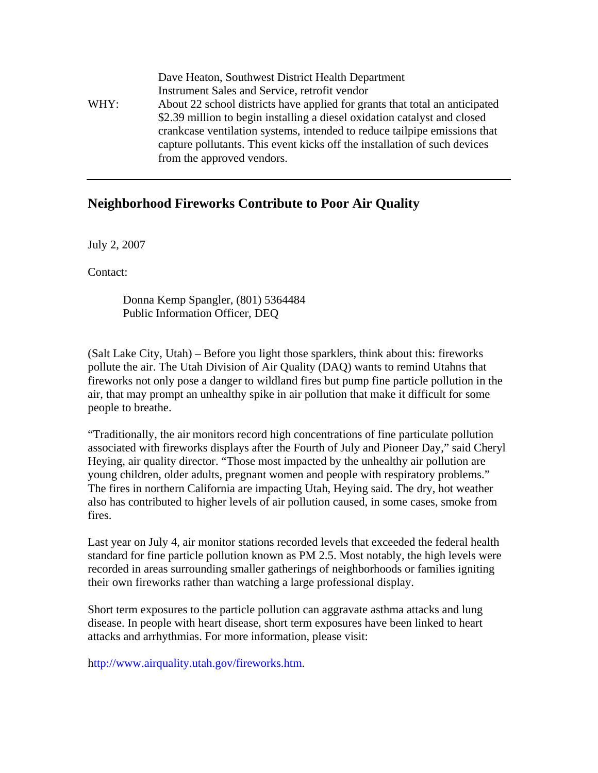|      | Dave Heaton, Southwest District Health Department                           |
|------|-----------------------------------------------------------------------------|
|      | Instrument Sales and Service, retrofit vendor                               |
| WHY: | About 22 school districts have applied for grants that total an anticipated |
|      | \$2.39 million to begin installing a diesel oxidation catalyst and closed   |
|      | crankcase ventilation systems, intended to reduce tailpipe emissions that   |
|      | capture pollutants. This event kicks off the installation of such devices   |
|      | from the approved vendors.                                                  |

#### **Neighborhood Fireworks Contribute to Poor Air Quality**

July 2, 2007

Contact:

Donna Kemp Spangler, (801) 5364484 Public Information Officer, DEQ

(Salt Lake City, Utah) – Before you light those sparklers, think about this: fireworks pollute the air. The Utah Division of Air Quality (DAQ) wants to remind Utahns that fireworks not only pose a danger to wildland fires but pump fine particle pollution in the air, that may prompt an unhealthy spike in air pollution that make it difficult for some people to breathe.

"Traditionally, the air monitors record high concentrations of fine particulate pollution associated with fireworks displays after the Fourth of July and Pioneer Day," said Cheryl Heying, air quality director. "Those most impacted by the unhealthy air pollution are young children, older adults, pregnant women and people with respiratory problems." The fires in northern California are impacting Utah, Heying said. The dry, hot weather also has contributed to higher levels of air pollution caused, in some cases, smoke from fires.

Last year on July 4, air monitor stations recorded levels that exceeded the federal health standard for fine particle pollution known as PM 2.5. Most notably, the high levels were recorded in areas surrounding smaller gatherings of neighborhoods or families igniting their own fireworks rather than watching a large professional display.

Short term exposures to the particle pollution can aggravate asthma attacks and lung disease. In people with heart disease, short term exposures have been linked to heart attacks and arrhythmias. For more information, please visit:

http://www.airquality.utah.gov/fireworks.htm.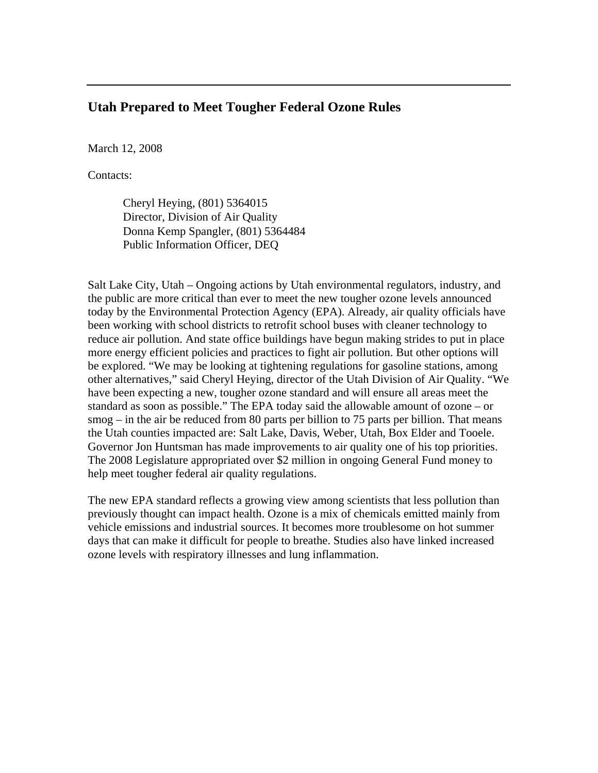### **Utah Prepared to Meet Tougher Federal Ozone Rules**

March 12, 2008

Contacts:

Cheryl Heying, (801) 5364015 Director, Division of Air Quality Donna Kemp Spangler, (801) 5364484 Public Information Officer, DEQ

Salt Lake City, Utah – Ongoing actions by Utah environmental regulators, industry, and the public are more critical than ever to meet the new tougher ozone levels announced today by the Environmental Protection Agency (EPA). Already, air quality officials have been working with school districts to retrofit school buses with cleaner technology to reduce air pollution. And state office buildings have begun making strides to put in place more energy efficient policies and practices to fight air pollution. But other options will be explored. "We may be looking at tightening regulations for gasoline stations, among other alternatives," said Cheryl Heying, director of the Utah Division of Air Quality. "We have been expecting a new, tougher ozone standard and will ensure all areas meet the standard as soon as possible." The EPA today said the allowable amount of ozone – or smog – in the air be reduced from 80 parts per billion to 75 parts per billion. That means the Utah counties impacted are: Salt Lake, Davis, Weber, Utah, Box Elder and Tooele. Governor Jon Huntsman has made improvements to air quality one of his top priorities. The 2008 Legislature appropriated over \$2 million in ongoing General Fund money to help meet tougher federal air quality regulations.

The new EPA standard reflects a growing view among scientists that less pollution than previously thought can impact health. Ozone is a mix of chemicals emitted mainly from vehicle emissions and industrial sources. It becomes more troublesome on hot summer days that can make it difficult for people to breathe. Studies also have linked increased ozone levels with respiratory illnesses and lung inflammation.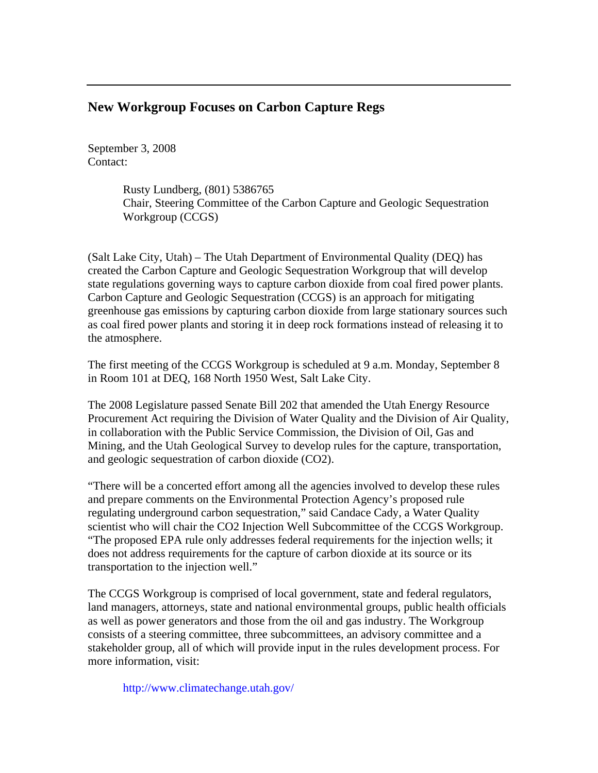### **New Workgroup Focuses on Carbon Capture Regs**

September 3, 2008 Contact:

> Rusty Lundberg, (801) 5386765 Chair, Steering Committee of the Carbon Capture and Geologic Sequestration Workgroup (CCGS)

(Salt Lake City, Utah) – The Utah Department of Environmental Quality (DEQ) has created the Carbon Capture and Geologic Sequestration Workgroup that will develop state regulations governing ways to capture carbon dioxide from coal fired power plants. Carbon Capture and Geologic Sequestration (CCGS) is an approach for mitigating greenhouse gas emissions by capturing carbon dioxide from large stationary sources such as coal fired power plants and storing it in deep rock formations instead of releasing it to the atmosphere.

The first meeting of the CCGS Workgroup is scheduled at 9 a.m. Monday, September 8 in Room 101 at DEQ, 168 North 1950 West, Salt Lake City.

The 2008 Legislature passed Senate Bill 202 that amended the Utah Energy Resource Procurement Act requiring the Division of Water Quality and the Division of Air Quality, in collaboration with the Public Service Commission, the Division of Oil, Gas and Mining, and the Utah Geological Survey to develop rules for the capture, transportation, and geologic sequestration of carbon dioxide (CO2).

"There will be a concerted effort among all the agencies involved to develop these rules and prepare comments on the Environmental Protection Agency's proposed rule regulating underground carbon sequestration," said Candace Cady, a Water Quality scientist who will chair the CO2 Injection Well Subcommittee of the CCGS Workgroup. "The proposed EPA rule only addresses federal requirements for the injection wells; it does not address requirements for the capture of carbon dioxide at its source or its transportation to the injection well."

The CCGS Workgroup is comprised of local government, state and federal regulators, land managers, attorneys, state and national environmental groups, public health officials as well as power generators and those from the oil and gas industry. The Workgroup consists of a steering committee, three subcommittees, an advisory committee and a stakeholder group, all of which will provide input in the rules development process. For more information, visit:

http://www.climatechange.utah.gov/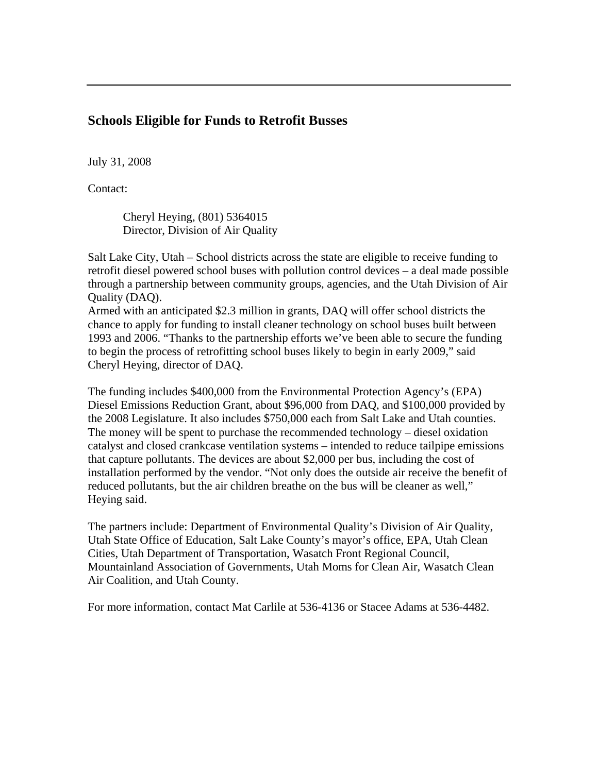# **Schools Eligible for Funds to Retrofit Busses**

July 31, 2008

Contact:

Cheryl Heying, (801) 5364015 Director, Division of Air Quality

Salt Lake City, Utah – School districts across the state are eligible to receive funding to retrofit diesel powered school buses with pollution control devices – a deal made possible through a partnership between community groups, agencies, and the Utah Division of Air Quality (DAQ).

Armed with an anticipated \$2.3 million in grants, DAQ will offer school districts the chance to apply for funding to install cleaner technology on school buses built between 1993 and 2006. "Thanks to the partnership efforts we've been able to secure the funding to begin the process of retrofitting school buses likely to begin in early 2009," said Cheryl Heying, director of DAQ.

The funding includes \$400,000 from the Environmental Protection Agency's (EPA) Diesel Emissions Reduction Grant, about \$96,000 from DAQ, and \$100,000 provided by the 2008 Legislature. It also includes \$750,000 each from Salt Lake and Utah counties. The money will be spent to purchase the recommended technology – diesel oxidation catalyst and closed crankcase ventilation systems – intended to reduce tailpipe emissions that capture pollutants. The devices are about \$2,000 per bus, including the cost of installation performed by the vendor. "Not only does the outside air receive the benefit of reduced pollutants, but the air children breathe on the bus will be cleaner as well," Heying said.

The partners include: Department of Environmental Quality's Division of Air Quality, Utah State Office of Education, Salt Lake County's mayor's office, EPA, Utah Clean Cities, Utah Department of Transportation, Wasatch Front Regional Council, Mountainland Association of Governments, Utah Moms for Clean Air, Wasatch Clean Air Coalition, and Utah County.

For more information, contact Mat Carlile at 536-4136 or Stacee Adams at 536-4482.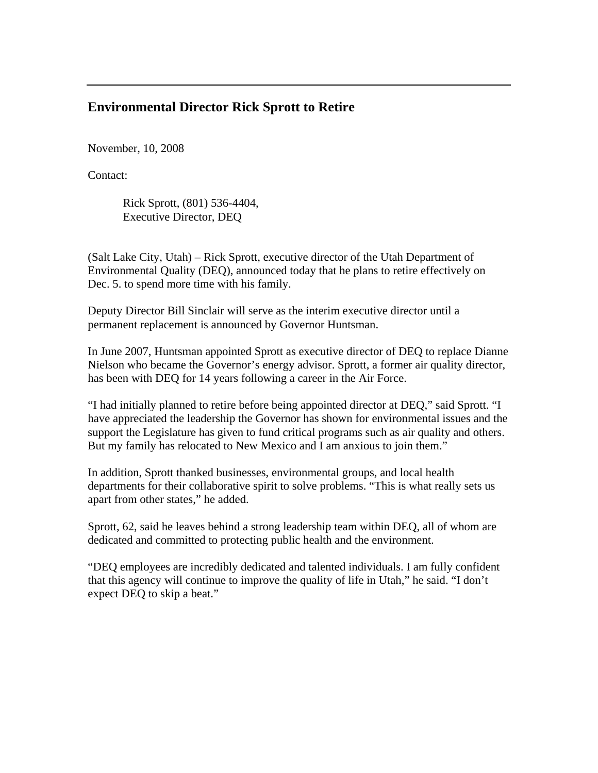### **Environmental Director Rick Sprott to Retire**

November, 10, 2008

Contact:

Rick Sprott, (801) 536-4404, Executive Director, DEQ

(Salt Lake City, Utah) – Rick Sprott, executive director of the Utah Department of Environmental Quality (DEQ), announced today that he plans to retire effectively on Dec. 5. to spend more time with his family.

Deputy Director Bill Sinclair will serve as the interim executive director until a permanent replacement is announced by Governor Huntsman.

In June 2007, Huntsman appointed Sprott as executive director of DEQ to replace Dianne Nielson who became the Governor's energy advisor. Sprott, a former air quality director, has been with DEQ for 14 years following a career in the Air Force.

"I had initially planned to retire before being appointed director at DEQ," said Sprott. "I have appreciated the leadership the Governor has shown for environmental issues and the support the Legislature has given to fund critical programs such as air quality and others. But my family has relocated to New Mexico and I am anxious to join them."

In addition, Sprott thanked businesses, environmental groups, and local health departments for their collaborative spirit to solve problems. "This is what really sets us apart from other states," he added.

Sprott, 62, said he leaves behind a strong leadership team within DEQ, all of whom are dedicated and committed to protecting public health and the environment.

"DEQ employees are incredibly dedicated and talented individuals. I am fully confident that this agency will continue to improve the quality of life in Utah," he said. "I don't expect DEQ to skip a beat."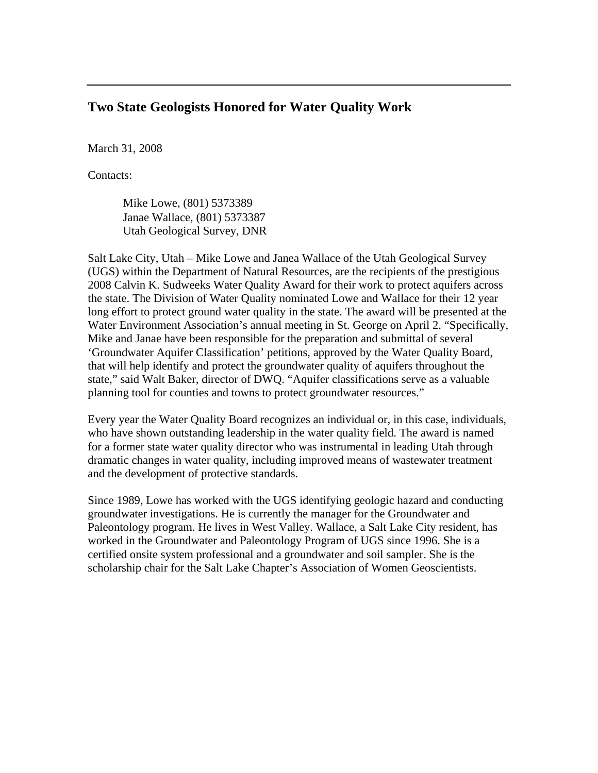### **Two State Geologists Honored for Water Quality Work**

March 31, 2008

Contacts:

Mike Lowe, (801) 5373389 Janae Wallace, (801) 5373387 Utah Geological Survey, DNR

Salt Lake City, Utah – Mike Lowe and Janea Wallace of the Utah Geological Survey (UGS) within the Department of Natural Resources, are the recipients of the prestigious 2008 Calvin K. Sudweeks Water Quality Award for their work to protect aquifers across the state. The Division of Water Quality nominated Lowe and Wallace for their 12 year long effort to protect ground water quality in the state. The award will be presented at the Water Environment Association's annual meeting in St. George on April 2. "Specifically, Mike and Janae have been responsible for the preparation and submittal of several 'Groundwater Aquifer Classification' petitions, approved by the Water Quality Board, that will help identify and protect the groundwater quality of aquifers throughout the state," said Walt Baker, director of DWQ. "Aquifer classifications serve as a valuable planning tool for counties and towns to protect groundwater resources."

Every year the Water Quality Board recognizes an individual or, in this case, individuals, who have shown outstanding leadership in the water quality field. The award is named for a former state water quality director who was instrumental in leading Utah through dramatic changes in water quality, including improved means of wastewater treatment and the development of protective standards.

Since 1989, Lowe has worked with the UGS identifying geologic hazard and conducting groundwater investigations. He is currently the manager for the Groundwater and Paleontology program. He lives in West Valley. Wallace, a Salt Lake City resident, has worked in the Groundwater and Paleontology Program of UGS since 1996. She is a certified onsite system professional and a groundwater and soil sampler. She is the scholarship chair for the Salt Lake Chapter's Association of Women Geoscientists.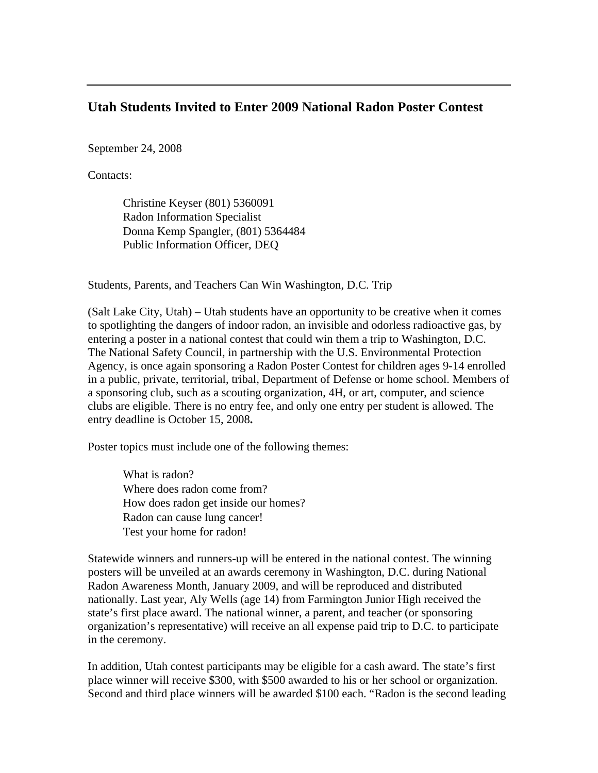#### **Utah Students Invited to Enter 2009 National Radon Poster Contest**

September 24, 2008

Contacts:

Christine Keyser (801) 5360091 Radon Information Specialist Donna Kemp Spangler, (801) 5364484 Public Information Officer, DEQ

Students, Parents, and Teachers Can Win Washington, D.C. Trip

(Salt Lake City, Utah) – Utah students have an opportunity to be creative when it comes to spotlighting the dangers of indoor radon, an invisible and odorless radioactive gas, by entering a poster in a national contest that could win them a trip to Washington, D.C. The National Safety Council, in partnership with the U.S. Environmental Protection Agency, is once again sponsoring a Radon Poster Contest for children ages 9-14 enrolled in a public, private, territorial, tribal, Department of Defense or home school. Members of a sponsoring club, such as a scouting organization, 4H, or art, computer, and science clubs are eligible. There is no entry fee, and only one entry per student is allowed. The entry deadline is October 15, 2008**.** 

Poster topics must include one of the following themes:

What is radon? Where does radon come from? How does radon get inside our homes? Radon can cause lung cancer! Test your home for radon!

Statewide winners and runners-up will be entered in the national contest. The winning posters will be unveiled at an awards ceremony in Washington, D.C. during National Radon Awareness Month, January 2009, and will be reproduced and distributed nationally. Last year, Aly Wells (age 14) from Farmington Junior High received the state's first place award. The national winner, a parent, and teacher (or sponsoring organization's representative) will receive an all expense paid trip to D.C. to participate in the ceremony.

In addition, Utah contest participants may be eligible for a cash award. The state's first place winner will receive \$300, with \$500 awarded to his or her school or organization. Second and third place winners will be awarded \$100 each. "Radon is the second leading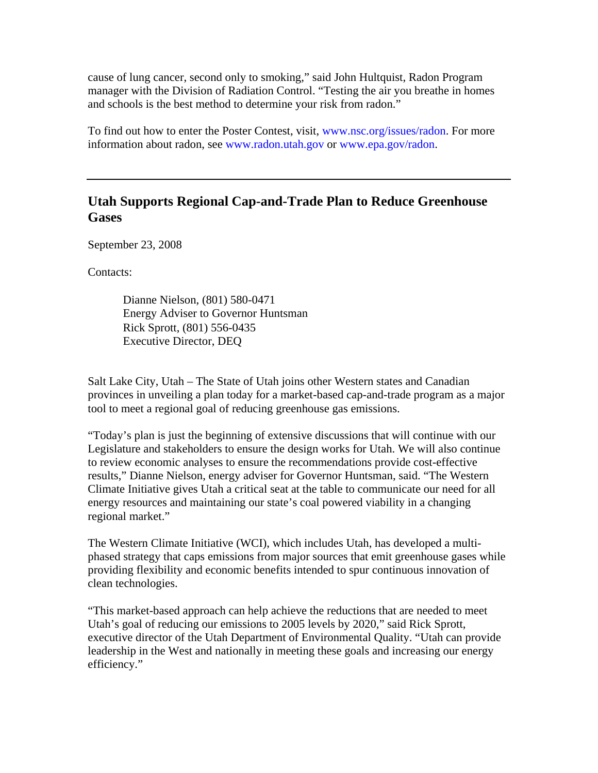cause of lung cancer, second only to smoking," said John Hultquist, Radon Program manager with the Division of Radiation Control. "Testing the air you breathe in homes and schools is the best method to determine your risk from radon."

To find out how to enter the Poster Contest, visit, www.nsc.org/issues/radon. For more information about radon, see www.radon.utah.gov or www.epa.gov/radon.

# **Utah Supports Regional Cap-and-Trade Plan to Reduce Greenhouse Gases**

September 23, 2008

Contacts:

Dianne Nielson, (801) 580-0471 Energy Adviser to Governor Huntsman Rick Sprott, (801) 556-0435 Executive Director, DEQ

Salt Lake City, Utah – The State of Utah joins other Western states and Canadian provinces in unveiling a plan today for a market-based cap-and-trade program as a major tool to meet a regional goal of reducing greenhouse gas emissions.

"Today's plan is just the beginning of extensive discussions that will continue with our Legislature and stakeholders to ensure the design works for Utah. We will also continue to review economic analyses to ensure the recommendations provide cost-effective results," Dianne Nielson, energy adviser for Governor Huntsman, said. "The Western Climate Initiative gives Utah a critical seat at the table to communicate our need for all energy resources and maintaining our state's coal powered viability in a changing regional market."

The Western Climate Initiative (WCI), which includes Utah, has developed a multiphased strategy that caps emissions from major sources that emit greenhouse gases while providing flexibility and economic benefits intended to spur continuous innovation of clean technologies.

"This market-based approach can help achieve the reductions that are needed to meet Utah's goal of reducing our emissions to 2005 levels by 2020," said Rick Sprott, executive director of the Utah Department of Environmental Quality. "Utah can provide leadership in the West and nationally in meeting these goals and increasing our energy efficiency."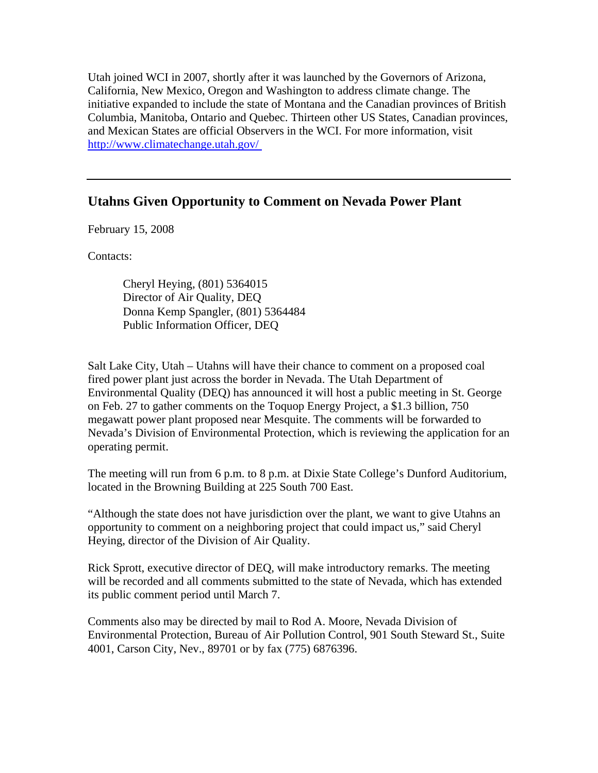Utah joined WCI in 2007, shortly after it was launched by the Governors of Arizona, California, New Mexico, Oregon and Washington to address climate change. The initiative expanded to include the state of Montana and the Canadian provinces of British Columbia, Manitoba, Ontario and Quebec. Thirteen other US States, Canadian provinces, and Mexican States are official Observers in the WCI. For more information, visit http://www.climatechange.utah.gov/

### **Utahns Given Opportunity to Comment on Nevada Power Plant**

February 15, 2008

Contacts:

Cheryl Heying, (801) 5364015 Director of Air Quality, DEQ Donna Kemp Spangler, (801) 5364484 Public Information Officer, DEQ

Salt Lake City, Utah – Utahns will have their chance to comment on a proposed coal fired power plant just across the border in Nevada. The Utah Department of Environmental Quality (DEQ) has announced it will host a public meeting in St. George on Feb. 27 to gather comments on the Toquop Energy Project, a \$1.3 billion, 750 megawatt power plant proposed near Mesquite. The comments will be forwarded to Nevada's Division of Environmental Protection, which is reviewing the application for an operating permit.

The meeting will run from 6 p.m. to 8 p.m. at Dixie State College's Dunford Auditorium, located in the Browning Building at 225 South 700 East.

"Although the state does not have jurisdiction over the plant, we want to give Utahns an opportunity to comment on a neighboring project that could impact us," said Cheryl Heying, director of the Division of Air Quality.

Rick Sprott, executive director of DEQ, will make introductory remarks. The meeting will be recorded and all comments submitted to the state of Nevada, which has extended its public comment period until March 7.

Comments also may be directed by mail to Rod A. Moore, Nevada Division of Environmental Protection, Bureau of Air Pollution Control, 901 South Steward St., Suite 4001, Carson City, Nev., 89701 or by fax (775) 6876396.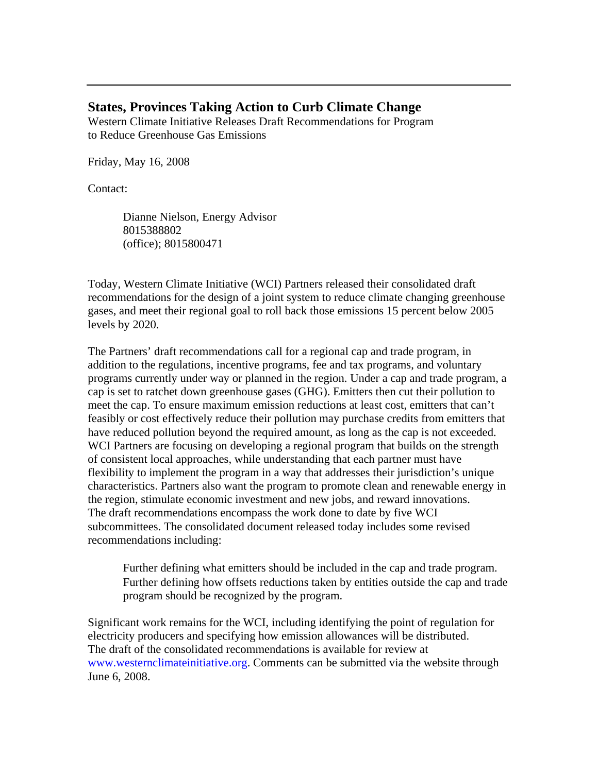#### **States, Provinces Taking Action to Curb Climate Change**

Western Climate Initiative Releases Draft Recommendations for Program to Reduce Greenhouse Gas Emissions

Friday, May 16, 2008

#### Contact:

Dianne Nielson, Energy Advisor 8015388802 (office); 8015800471

Today, Western Climate Initiative (WCI) Partners released their consolidated draft recommendations for the design of a joint system to reduce climate changing greenhouse gases, and meet their regional goal to roll back those emissions 15 percent below 2005 levels by 2020.

The Partners' draft recommendations call for a regional cap and trade program, in addition to the regulations, incentive programs, fee and tax programs, and voluntary programs currently under way or planned in the region. Under a cap and trade program, a cap is set to ratchet down greenhouse gases (GHG). Emitters then cut their pollution to meet the cap. To ensure maximum emission reductions at least cost, emitters that can't feasibly or cost effectively reduce their pollution may purchase credits from emitters that have reduced pollution beyond the required amount, as long as the cap is not exceeded. WCI Partners are focusing on developing a regional program that builds on the strength of consistent local approaches, while understanding that each partner must have flexibility to implement the program in a way that addresses their jurisdiction's unique characteristics. Partners also want the program to promote clean and renewable energy in the region, stimulate economic investment and new jobs, and reward innovations. The draft recommendations encompass the work done to date by five WCI subcommittees. The consolidated document released today includes some revised recommendations including:

Further defining what emitters should be included in the cap and trade program. Further defining how offsets reductions taken by entities outside the cap and trade program should be recognized by the program.

Significant work remains for the WCI, including identifying the point of regulation for electricity producers and specifying how emission allowances will be distributed. The draft of the consolidated recommendations is available for review at www.westernclimateinitiative.org. Comments can be submitted via the website through June 6, 2008.